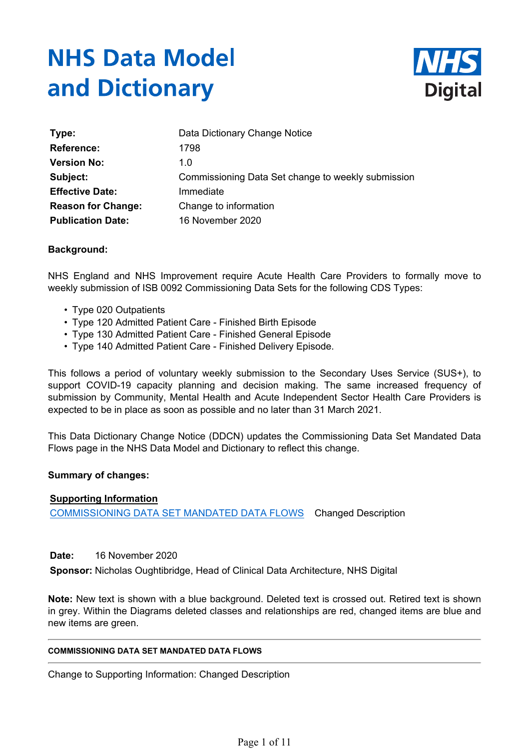# **NHS Data Model** and Dictionary



| Type:                     | Data Dictionary Change Notice                      |
|---------------------------|----------------------------------------------------|
| <b>Reference:</b>         | 1798                                               |
| <b>Version No:</b>        | 1.0                                                |
| Subject:                  | Commissioning Data Set change to weekly submission |
| <b>Effective Date:</b>    | Immediate                                          |
| <b>Reason for Change:</b> | Change to information                              |
| <b>Publication Date:</b>  | 16 November 2020                                   |

## **Background:**

NHS England and NHS Improvement require Acute Health Care Providers to formally move to weekly submission of ISB 0092 Commissioning Data Sets for the following CDS Types:

- Type 020 Outpatients
- Type 120 Admitted Patient Care Finished Birth Episode
- Type 130 Admitted Patient Care Finished General Episode
- Type 140 Admitted Patient Care Finished Delivery Episode.

This follows a period of voluntary weekly submission to the Secondary Uses Service (SUS+), to support COVID-19 capacity planning and decision making. The same increased frequency of submission by Community, Mental Health and Acute Independent Sector Health Care Providers is expected to be in place as soon as possible and no later than 31 March 2021.

This Data Dictionary Change Notice (DDCN) updates the Commissioning Data Set Mandated Data Flows page in the NHS Data Model and Dictionary to reflect this change.

## **Summary of changes:**

## **Supporting Information**

COMMISSIONING DATA SET MANDATED DATA FLOWS Changed Description

## **Date:** 16 November 2020

**Sponsor:** Nicholas Oughtibridge, Head of Clinical Data Architecture, NHS Digital

**Note:** New text is shown with a blue background. Deleted text is crossed out. Retired text is shown in grey. Within the Diagrams deleted classes and relationships are red, changed items are blue and new items are green.

#### **COMMISSIONING DATA SET MANDATED DATA FLOWS**

Change to Supporting Information: Changed Description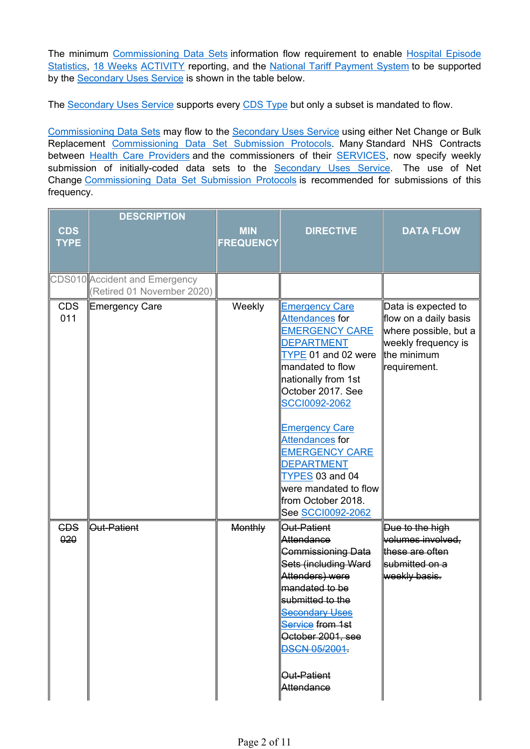The minimum Commissioning Data Sets information flow requirement to enable Hospital Episode Statistics, 18 Weeks ACTIVITY reporting, and the National Tariff Payment System to be supported by the Secondary Uses Service is shown in the table below.

The Secondary Uses Service supports every CDS Type but only a subset is mandated to flow.

Commissioning Data Sets may flow to the Secondary Uses Service using either Net Change or Bulk Replacement Commissioning Data Set Submission Protocols. Many Standard NHS Contracts between Health Care Providers and the commissioners of their SERVICES, now specify weekly submission of initially-coded data sets to the Secondary Uses Service. The use of Net Change Commissioning Data Set Submission Protocols is recommended for submissions of this frequency.

| <b>CDS</b><br><b>TYPE</b> | <b>DESCRIPTION</b>                                          | <b>MIN</b><br><b>FREQUENCY</b> | <b>DIRECTIVE</b>                                                                                                                                                                                                                                                                                                                                                                       | <b>DATA FLOW</b>                                                                                                            |
|---------------------------|-------------------------------------------------------------|--------------------------------|----------------------------------------------------------------------------------------------------------------------------------------------------------------------------------------------------------------------------------------------------------------------------------------------------------------------------------------------------------------------------------------|-----------------------------------------------------------------------------------------------------------------------------|
|                           | CDS010 Accident and Emergency<br>(Retired 01 November 2020) |                                |                                                                                                                                                                                                                                                                                                                                                                                        |                                                                                                                             |
| <b>CDS</b><br>011         | <b>Emergency Care</b>                                       | Weekly                         | <b>Emergency Care</b><br>Attendances for<br><b>EMERGENCY CARE</b><br><b>DEPARTMENT</b><br>TYPE 01 and 02 were<br>mandated to flow<br>nationally from 1st<br>October 2017. See<br><b>SCCI0092-2062</b><br><b>Emergency Care</b><br>Attendances for<br><b>EMERGENCY CARE</b><br><b>DEPARTMENT</b><br>TYPES 03 and 04<br>were mandated to flow<br>from October 2018.<br>See SCCI0092-2062 | Data is expected to<br>flow on a daily basis<br>where possible, but a<br>weekly frequency is<br>the minimum<br>requirement. |
| <b>CDS</b><br>020         | <b>Out-Patient</b>                                          | <b>Monthly</b>                 | Out-Patient<br>Attendance<br><b>Commissioning Data</b><br>Sets (including Ward<br>Attenders) were<br>mandated to be<br>submitted to the<br><b>Secondary Uses</b><br>Service from 1st<br>October 2001, see<br><b>DSCN 05/2001.</b><br>∥ <del>Out-Patient</del><br>Attendance                                                                                                            | Due to the high<br>volumes involved,<br>these are often<br>submitted on a<br>weekly basis.                                  |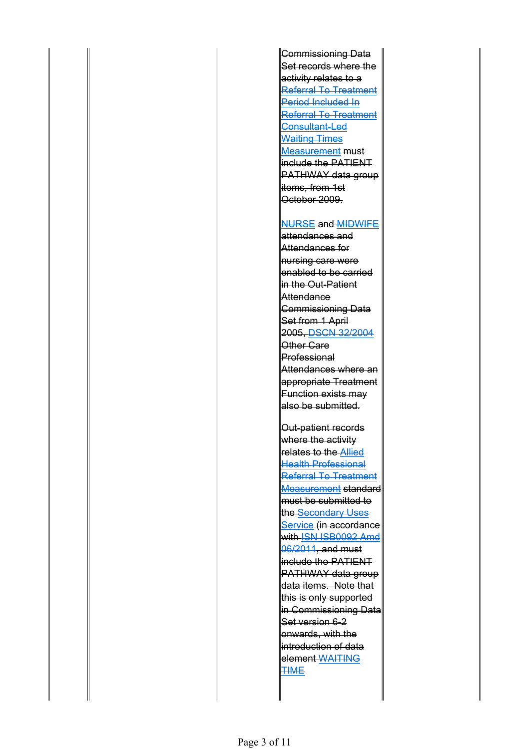Commissioning Data Set records where the activity relates to a Referral To Treatment Period Included In Referral To Treatment Consultant-Led Waiting Times Measurement must include the PATIENT PATHWAY data group litems, from 1st October 2009.

#### NURSE and MIDWIFE

attendances and Attendances for nursing care were enabled to be carried in the Out-Patient Attendance Commissioning Data Set from 1 April 2005, DSCN 32/2004 Other Care Professional Attendances where an appropriate Treatment Function exists may also be submitted.

Out-patient records where the activity **Felates to the Allied** Health Professional Referral To Treatment Measurement standard must be submitted to the Secondary Uses Service (in accordance With ISN ISB0092 Amd 06/2011, and must  $\,$  include the PATIENT  $\,$ PATHWAY data group data items. Note that this is only supported in Commissioning Data Set version 6-2 **lonwards, with the** introduction of data element WAITING **TIME**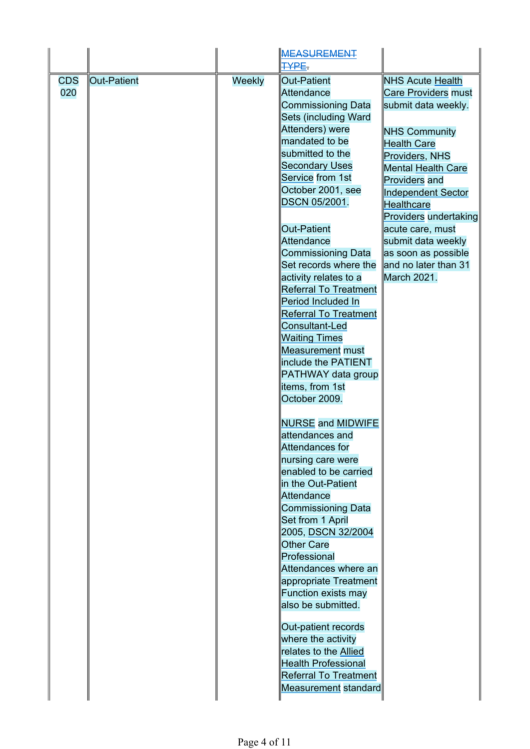|            |             |        | <b>MEASUREMENT</b><br>TYPE.  |                              |
|------------|-------------|--------|------------------------------|------------------------------|
| <b>CDS</b> | Out-Patient | Weekly | Out-Patient                  | <b>NHS Acute Health</b>      |
| 020        |             |        | Attendance                   | <b>Care Providers must</b>   |
|            |             |        | <b>Commissioning Data</b>    | submit data weekly.          |
|            |             |        | Sets (including Ward         |                              |
|            |             |        | Attenders) were              | <b>NHS Community</b>         |
|            |             |        | mandated to be               | <b>Health Care</b>           |
|            |             |        | submitted to the             | Providers, NHS               |
|            |             |        | <b>Secondary Uses</b>        | <b>Mental Health Care</b>    |
|            |             |        | Service from 1st             | Providers and                |
|            |             |        | October 2001, see            |                              |
|            |             |        | DSCN 05/2001.                | <b>Independent Sector</b>    |
|            |             |        |                              | <b>Healthcare</b>            |
|            |             |        |                              | <b>Providers undertaking</b> |
|            |             |        | <b>Out-Patient</b>           | acute care, must             |
|            |             |        | Attendance                   | submit data weekly           |
|            |             |        | <b>Commissioning Data</b>    | as soon as possible          |
|            |             |        | Set records where the        | and no later than 31         |
|            |             |        | activity relates to a        | March 2021.                  |
|            |             |        | <b>Referral To Treatment</b> |                              |
|            |             |        | Period Included In           |                              |
|            |             |        | <b>Referral To Treatment</b> |                              |
|            |             |        | Consultant-Led               |                              |
|            |             |        | <b>Waiting Times</b>         |                              |
|            |             |        | <b>Measurement must</b>      |                              |
|            |             |        | include the PATIENT          |                              |
|            |             |        | PATHWAY data group           |                              |
|            |             |        | items, from 1st              |                              |
|            |             |        | October 2009.                |                              |
|            |             |        | <b>NURSE and MIDWIFE</b>     |                              |
|            |             |        | lattendances and             |                              |
|            |             |        | Attendances for              |                              |
|            |             |        | nursing care were            |                              |
|            |             |        | enabled to be carried        |                              |
|            |             |        | in the Out-Patient           |                              |
|            |             |        | Attendance                   |                              |
|            |             |        | <b>Commissioning Data</b>    |                              |
|            |             |        | Set from 1 April             |                              |
|            |             |        | 2005, DSCN 32/2004           |                              |
|            |             |        | <b>Other Care</b>            |                              |
|            |             |        | Professional                 |                              |
|            |             |        | Attendances where an         |                              |
|            |             |        | appropriate Treatment        |                              |
|            |             |        | Function exists may          |                              |
|            |             |        | also be submitted.           |                              |
|            |             |        | Out-patient records          |                              |
|            |             |        | where the activity           |                              |
|            |             |        | relates to the Allied        |                              |
|            |             |        | <b>Health Professional</b>   |                              |
|            |             |        | <b>Referral To Treatment</b> |                              |
|            |             |        |                              |                              |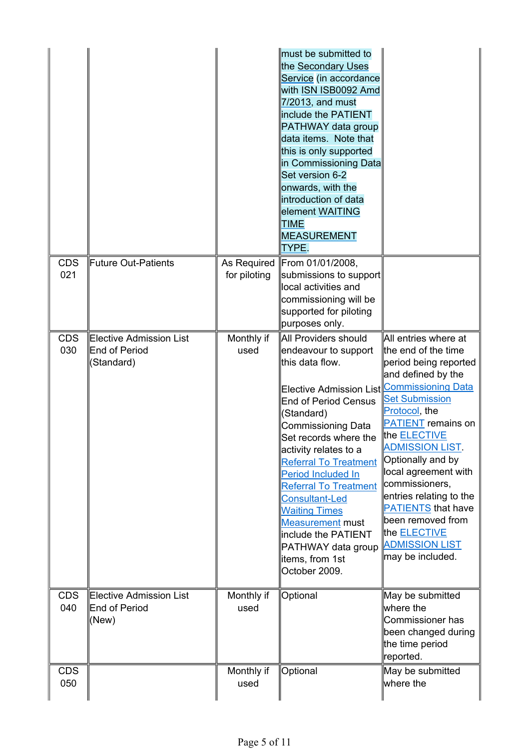|                   |                                                               |                             | must be submitted to<br>the Secondary Uses<br>Service (in accordance<br>with ISN ISB0092 Amd<br>$7/2013$ , and must<br>include the PATIENT<br>PATHWAY data group<br>data items. Note that<br>this is only supported<br>in Commissioning Data<br>Set version 6-2<br>onwards, with the<br>introduction of data<br>element WAITING<br>TIME<br><b>MEASUREMENT</b><br>TYPE.                                                                                                                                                |                                                                                                                                                                                                                                                                                                                                                                                                                       |
|-------------------|---------------------------------------------------------------|-----------------------------|-----------------------------------------------------------------------------------------------------------------------------------------------------------------------------------------------------------------------------------------------------------------------------------------------------------------------------------------------------------------------------------------------------------------------------------------------------------------------------------------------------------------------|-----------------------------------------------------------------------------------------------------------------------------------------------------------------------------------------------------------------------------------------------------------------------------------------------------------------------------------------------------------------------------------------------------------------------|
| <b>CDS</b><br>021 | Future Out-Patients                                           | As Required<br>for piloting | From 01/01/2008,<br>$\left\ $ submissions to support $\right $<br>local activities and<br>commissioning will be<br>supported for piloting<br>purposes only.                                                                                                                                                                                                                                                                                                                                                           |                                                                                                                                                                                                                                                                                                                                                                                                                       |
| <b>CDS</b><br>030 | Elective Admission List<br><b>End of Period</b><br>(Standard) | Monthly if<br>used          | All Providers should<br>endeavour to support<br>this data flow.<br>Elective Admission List∥Commissioning Data<br><b>End of Period Census</b><br>(Standard)<br><b>Commissioning Data</b><br>Set records where the<br>$\parallel$ activity relates to a<br><b>Referral To Treatment</b><br>Period Included In<br><b>Referral To Treatment</b><br><b>Consultant-Led</b><br><b>Waiting Times</b><br><b>Measurement must</b><br>$\parallel$ include the PATIENT<br>PATHWAY data group<br>litems, from 1st<br>October 2009. | All entries where at<br>the end of the time<br>period being reported<br>and defined by the<br><b>Set Submission</b><br>Protocol, the<br><b>PATIENT</b> remains on<br>the <b>ELECTIVE</b><br>∥ADMISSION LIST.<br>Optionally and by<br>local agreement with<br>commissioners,<br>entries relating to the<br><b>PATIENTS that have</b><br>been removed from<br>the ELECTIVE<br><b>ADMISSION LIST</b><br>may be included. |
| <b>CDS</b><br>040 | Elective Admission List<br>End of Period<br>(New)             | Monthly if<br>used          | Optional                                                                                                                                                                                                                                                                                                                                                                                                                                                                                                              | May be submitted<br>where the $\,$<br>Commissioner has<br>been changed during<br>the time period<br>reported.                                                                                                                                                                                                                                                                                                         |
| <b>CDS</b><br>050 |                                                               | Monthly if<br>used          | Optional                                                                                                                                                                                                                                                                                                                                                                                                                                                                                                              | May be submitted<br>where the                                                                                                                                                                                                                                                                                                                                                                                         |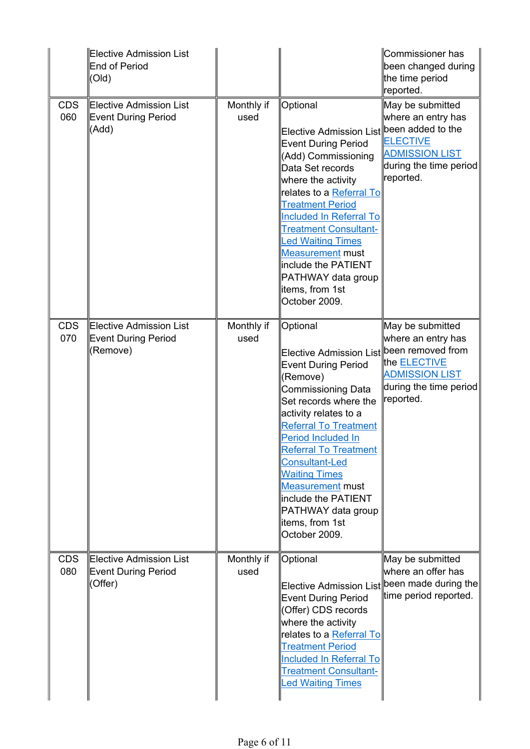|                   | Elective Admission List<br>End of Period<br>(Old)          |                    |                                                                                                                                                                                                                                                                                                                                                                                                                         | Commissioner has<br>been changed during<br>the time period<br>reported.                                                                     |
|-------------------|------------------------------------------------------------|--------------------|-------------------------------------------------------------------------------------------------------------------------------------------------------------------------------------------------------------------------------------------------------------------------------------------------------------------------------------------------------------------------------------------------------------------------|---------------------------------------------------------------------------------------------------------------------------------------------|
| <b>CDS</b><br>060 | Elective Admission List<br>Event During Period<br>(Add)    | Monthly if<br>used | Optional<br>Elective Admission List∥been added to the<br><b>Event During Period</b><br>(Add) Commissioning<br>Data Set records<br>where the activity<br>relates to a Referral To<br><b>Treatment Period</b><br><b>Included In Referral To</b><br><b>Treatment Consultant-</b><br><b>Led Waiting Times</b><br><b>Measurement must</b><br>include the PATIENT<br>PATHWAY data group<br>litems, from 1st<br>October 2009.  | May be submitted<br>where an entry has<br><b>ELECTIVE</b><br><b>ADMISSION LIST</b><br>during the time period<br>reported.                   |
| <b>CDS</b><br>070 | Elective Admission List<br>Event During Period<br>(Remove) | Monthly if<br>used | Optional<br><b>Elective Admission List</b><br><b>Event During Period</b><br>(Remove)<br><b>Commissioning Data</b><br>Set records where the<br>activity relates to a<br><b>Referral To Treatment</b><br>Period Included In<br><b>Referral To Treatment</b><br><b>Consultant-Led</b><br><b>Waiting Times</b><br><b>Measurement must</b><br>include the PATIENT<br>PATHWAY data group<br>litems, from 1st<br>October 2009. | May be submitted<br>where an entry has<br>been removed from<br>the ELECTIVE<br><b>ADMISSION LIST</b><br>during the time period<br>reported. |
| <b>CDS</b><br>080 | Elective Admission List<br>Event During Period<br>(Offer)  | Monthly if<br>used | Optional<br>Elective Admission List∥been made during the∥<br><b>Event During Period</b><br>(Offer) CDS records<br>where the activity<br>relates to a Referral To<br><b>Treatment Period</b><br><b>Included In Referral To</b><br><b>Treatment Consultant-</b><br><b>Led Waiting Times</b>                                                                                                                               | May be submitted<br>where an offer has<br>time period reported.                                                                             |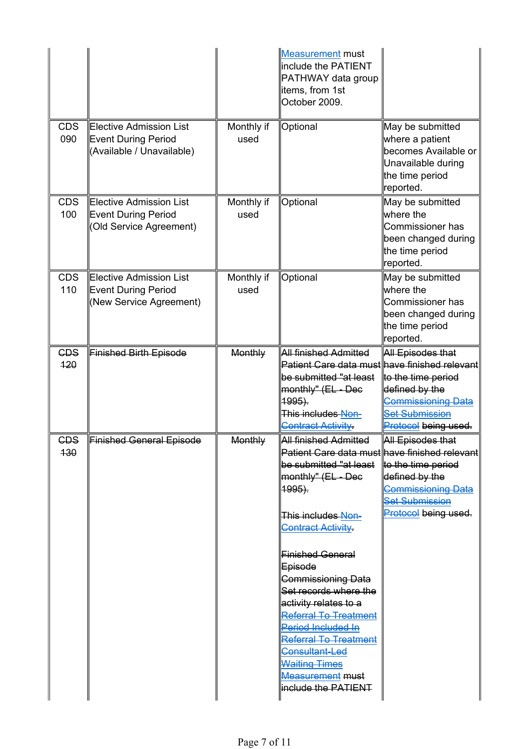|                   |                                                                             |                    | Measurement must<br>include the PATIENT<br>PATHWAY data group<br>litems, from 1st<br>October 2009.                                                                                                                                                                                                                                                                                                                                                                                                          |                                                                                                                                                                   |
|-------------------|-----------------------------------------------------------------------------|--------------------|-------------------------------------------------------------------------------------------------------------------------------------------------------------------------------------------------------------------------------------------------------------------------------------------------------------------------------------------------------------------------------------------------------------------------------------------------------------------------------------------------------------|-------------------------------------------------------------------------------------------------------------------------------------------------------------------|
| <b>CDS</b><br>090 | Elective Admission List<br>Event During Period<br>(Available / Unavailable) | Monthly if<br>used | Optional                                                                                                                                                                                                                                                                                                                                                                                                                                                                                                    | May be submitted<br>where a patient<br>becomes Available or<br>Unavailable during<br>the time period<br>reported.                                                 |
| <b>CDS</b><br>100 | Elective Admission List<br>Event During Period<br>(Old Service Agreement)   | Monthly if<br>used | Optional                                                                                                                                                                                                                                                                                                                                                                                                                                                                                                    | May be submitted<br>where the $\,$<br>Commissioner has<br>been changed during<br>the time period<br>reported.                                                     |
| <b>CDS</b><br>110 | ∥Elective Admission List<br>Event During Period<br>(New Service Agreement)  | Monthly if<br>used | Optional                                                                                                                                                                                                                                                                                                                                                                                                                                                                                                    | May be submitted<br>where the $\,$<br>Commissioner has<br>been changed during<br>the time period<br>reported.                                                     |
| <b>CDS</b><br>120 | Finished Birth Episode                                                      | Monthly            | <u>All finished Admitted</u><br>Patient Care data must<br>be submitted "at least<br>monthly" (EL - Dec<br>1995).<br>This includes Non-<br><b>Contract Activity.</b>                                                                                                                                                                                                                                                                                                                                         | All Episodes that<br>⊪ave finished relevant<br>to the time period<br>defined by the<br>Commissioning Data<br><b>Set Submission</b><br><b>Protocol being used.</b> |
| <b>CDS</b><br>130 | Finished General Episode                                                    | Monthly            | All finished Admitted<br>∥Patient Care data must∥have finished relevant∣<br>be submitted "at least<br>monthly" (EL - Dec<br><u>  1995).</u><br>This includes Non-<br><b>Contract Activity</b><br><b>Finished General</b><br>∣ <del>Episode</del><br>Commissioning Data<br>Set records where the<br>activity relates to a<br><b>Referral To Treatment</b><br>Period Included In<br><b>Referral To Treatment</b><br>Consultant-Led<br><b>Waiting Times</b><br><b>Measurement must</b><br>∥include the PATIENT | All Episodes that<br>to the time period<br>defined by the<br><b>Commissioning Data</b><br><b>Set Submission</b><br>Protocol being used.                           |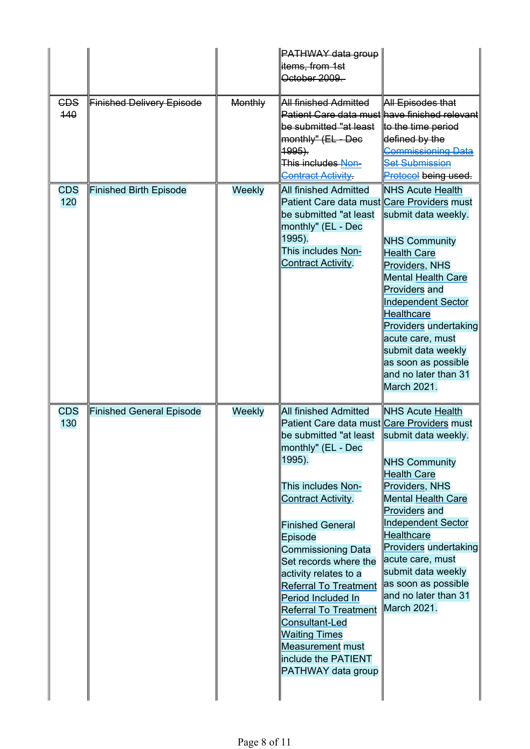| October 2009.<br><b>CDS</b><br><b>Finished Delivery Episode</b><br><b>Monthly</b><br><u>All finished Admitted</u><br>All Episodes that<br>440<br>∣Patient Care data must∥have finished relevantİ<br>be submitted "at least<br>to the time period<br>defined by the<br>monthly" (EL - Dec<br>Commissioning Data<br>1995).<br>This includes Non-<br><b>Set Submission</b><br><b>Contract Activity</b><br>Protocol being used.<br>All finished Admitted<br><b>NHS Acute Health</b><br><b>CDS</b><br><b>Finished Birth Episode</b><br>Weekly<br>120<br>Patient Care data must Care Providers must<br>be submitted "at least<br>submit data weekly.<br>monthly" (EL - Dec<br> 1995).<br><b>NHS Community</b><br>This includes Non-<br><b>Health Care</b><br>Contract Activity.<br>Providers, NHS<br><b>Mental Health Care</b><br>Providers and<br><b>Independent Sector</b><br><b>Healthcare</b><br>Providers undertaking<br>acute care, must<br>submit data weekly<br>as soon as possible<br>and no later than 31<br>March 2021.<br><b>CDS</b><br><b>Finished General Episode</b><br>Weekly<br><b>All finished Admitted</b><br><b>NHS Acute Health</b><br>130<br>Patient Care data must Care Providers must<br>be submitted "at least<br>submit data weekly.<br>∥monthly" (EL - Dec<br> 1995).<br><b>NHS Community</b><br><b>Health Care</b><br>Providers, NHS<br>This includes Non-<br><b>Mental Health Care</b><br>Contract Activity.<br><b>Providers</b> and<br><b>Independent Sector</b><br>Finished General<br><b>Healthcare</b><br>Episode<br><b>Providers undertaking</b><br>Commissioning Data<br>acute care, must<br>Set records where the<br>submit data weekly<br>activity relates to a<br>as soon as possible<br><b>Referral To Treatment</b><br>and no later than 31<br>Period Included In |  | ∥PATHWAY data group |  |
|-----------------------------------------------------------------------------------------------------------------------------------------------------------------------------------------------------------------------------------------------------------------------------------------------------------------------------------------------------------------------------------------------------------------------------------------------------------------------------------------------------------------------------------------------------------------------------------------------------------------------------------------------------------------------------------------------------------------------------------------------------------------------------------------------------------------------------------------------------------------------------------------------------------------------------------------------------------------------------------------------------------------------------------------------------------------------------------------------------------------------------------------------------------------------------------------------------------------------------------------------------------------------------------------------------------------------------------------------------------------------------------------------------------------------------------------------------------------------------------------------------------------------------------------------------------------------------------------------------------------------------------------------------------------------------------------------------------------------------------------------------------------------------------------------------|--|---------------------|--|
|                                                                                                                                                                                                                                                                                                                                                                                                                                                                                                                                                                                                                                                                                                                                                                                                                                                                                                                                                                                                                                                                                                                                                                                                                                                                                                                                                                                                                                                                                                                                                                                                                                                                                                                                                                                                     |  | items, from 1st     |  |
|                                                                                                                                                                                                                                                                                                                                                                                                                                                                                                                                                                                                                                                                                                                                                                                                                                                                                                                                                                                                                                                                                                                                                                                                                                                                                                                                                                                                                                                                                                                                                                                                                                                                                                                                                                                                     |  |                     |  |
|                                                                                                                                                                                                                                                                                                                                                                                                                                                                                                                                                                                                                                                                                                                                                                                                                                                                                                                                                                                                                                                                                                                                                                                                                                                                                                                                                                                                                                                                                                                                                                                                                                                                                                                                                                                                     |  |                     |  |
|                                                                                                                                                                                                                                                                                                                                                                                                                                                                                                                                                                                                                                                                                                                                                                                                                                                                                                                                                                                                                                                                                                                                                                                                                                                                                                                                                                                                                                                                                                                                                                                                                                                                                                                                                                                                     |  |                     |  |
|                                                                                                                                                                                                                                                                                                                                                                                                                                                                                                                                                                                                                                                                                                                                                                                                                                                                                                                                                                                                                                                                                                                                                                                                                                                                                                                                                                                                                                                                                                                                                                                                                                                                                                                                                                                                     |  |                     |  |
|                                                                                                                                                                                                                                                                                                                                                                                                                                                                                                                                                                                                                                                                                                                                                                                                                                                                                                                                                                                                                                                                                                                                                                                                                                                                                                                                                                                                                                                                                                                                                                                                                                                                                                                                                                                                     |  |                     |  |
|                                                                                                                                                                                                                                                                                                                                                                                                                                                                                                                                                                                                                                                                                                                                                                                                                                                                                                                                                                                                                                                                                                                                                                                                                                                                                                                                                                                                                                                                                                                                                                                                                                                                                                                                                                                                     |  |                     |  |
|                                                                                                                                                                                                                                                                                                                                                                                                                                                                                                                                                                                                                                                                                                                                                                                                                                                                                                                                                                                                                                                                                                                                                                                                                                                                                                                                                                                                                                                                                                                                                                                                                                                                                                                                                                                                     |  |                     |  |
|                                                                                                                                                                                                                                                                                                                                                                                                                                                                                                                                                                                                                                                                                                                                                                                                                                                                                                                                                                                                                                                                                                                                                                                                                                                                                                                                                                                                                                                                                                                                                                                                                                                                                                                                                                                                     |  |                     |  |
|                                                                                                                                                                                                                                                                                                                                                                                                                                                                                                                                                                                                                                                                                                                                                                                                                                                                                                                                                                                                                                                                                                                                                                                                                                                                                                                                                                                                                                                                                                                                                                                                                                                                                                                                                                                                     |  |                     |  |
|                                                                                                                                                                                                                                                                                                                                                                                                                                                                                                                                                                                                                                                                                                                                                                                                                                                                                                                                                                                                                                                                                                                                                                                                                                                                                                                                                                                                                                                                                                                                                                                                                                                                                                                                                                                                     |  |                     |  |
|                                                                                                                                                                                                                                                                                                                                                                                                                                                                                                                                                                                                                                                                                                                                                                                                                                                                                                                                                                                                                                                                                                                                                                                                                                                                                                                                                                                                                                                                                                                                                                                                                                                                                                                                                                                                     |  |                     |  |
|                                                                                                                                                                                                                                                                                                                                                                                                                                                                                                                                                                                                                                                                                                                                                                                                                                                                                                                                                                                                                                                                                                                                                                                                                                                                                                                                                                                                                                                                                                                                                                                                                                                                                                                                                                                                     |  |                     |  |
|                                                                                                                                                                                                                                                                                                                                                                                                                                                                                                                                                                                                                                                                                                                                                                                                                                                                                                                                                                                                                                                                                                                                                                                                                                                                                                                                                                                                                                                                                                                                                                                                                                                                                                                                                                                                     |  |                     |  |
|                                                                                                                                                                                                                                                                                                                                                                                                                                                                                                                                                                                                                                                                                                                                                                                                                                                                                                                                                                                                                                                                                                                                                                                                                                                                                                                                                                                                                                                                                                                                                                                                                                                                                                                                                                                                     |  |                     |  |
|                                                                                                                                                                                                                                                                                                                                                                                                                                                                                                                                                                                                                                                                                                                                                                                                                                                                                                                                                                                                                                                                                                                                                                                                                                                                                                                                                                                                                                                                                                                                                                                                                                                                                                                                                                                                     |  |                     |  |
|                                                                                                                                                                                                                                                                                                                                                                                                                                                                                                                                                                                                                                                                                                                                                                                                                                                                                                                                                                                                                                                                                                                                                                                                                                                                                                                                                                                                                                                                                                                                                                                                                                                                                                                                                                                                     |  |                     |  |
|                                                                                                                                                                                                                                                                                                                                                                                                                                                                                                                                                                                                                                                                                                                                                                                                                                                                                                                                                                                                                                                                                                                                                                                                                                                                                                                                                                                                                                                                                                                                                                                                                                                                                                                                                                                                     |  |                     |  |
|                                                                                                                                                                                                                                                                                                                                                                                                                                                                                                                                                                                                                                                                                                                                                                                                                                                                                                                                                                                                                                                                                                                                                                                                                                                                                                                                                                                                                                                                                                                                                                                                                                                                                                                                                                                                     |  |                     |  |
|                                                                                                                                                                                                                                                                                                                                                                                                                                                                                                                                                                                                                                                                                                                                                                                                                                                                                                                                                                                                                                                                                                                                                                                                                                                                                                                                                                                                                                                                                                                                                                                                                                                                                                                                                                                                     |  |                     |  |
|                                                                                                                                                                                                                                                                                                                                                                                                                                                                                                                                                                                                                                                                                                                                                                                                                                                                                                                                                                                                                                                                                                                                                                                                                                                                                                                                                                                                                                                                                                                                                                                                                                                                                                                                                                                                     |  |                     |  |
|                                                                                                                                                                                                                                                                                                                                                                                                                                                                                                                                                                                                                                                                                                                                                                                                                                                                                                                                                                                                                                                                                                                                                                                                                                                                                                                                                                                                                                                                                                                                                                                                                                                                                                                                                                                                     |  |                     |  |
|                                                                                                                                                                                                                                                                                                                                                                                                                                                                                                                                                                                                                                                                                                                                                                                                                                                                                                                                                                                                                                                                                                                                                                                                                                                                                                                                                                                                                                                                                                                                                                                                                                                                                                                                                                                                     |  |                     |  |
|                                                                                                                                                                                                                                                                                                                                                                                                                                                                                                                                                                                                                                                                                                                                                                                                                                                                                                                                                                                                                                                                                                                                                                                                                                                                                                                                                                                                                                                                                                                                                                                                                                                                                                                                                                                                     |  |                     |  |
|                                                                                                                                                                                                                                                                                                                                                                                                                                                                                                                                                                                                                                                                                                                                                                                                                                                                                                                                                                                                                                                                                                                                                                                                                                                                                                                                                                                                                                                                                                                                                                                                                                                                                                                                                                                                     |  |                     |  |
|                                                                                                                                                                                                                                                                                                                                                                                                                                                                                                                                                                                                                                                                                                                                                                                                                                                                                                                                                                                                                                                                                                                                                                                                                                                                                                                                                                                                                                                                                                                                                                                                                                                                                                                                                                                                     |  |                     |  |
|                                                                                                                                                                                                                                                                                                                                                                                                                                                                                                                                                                                                                                                                                                                                                                                                                                                                                                                                                                                                                                                                                                                                                                                                                                                                                                                                                                                                                                                                                                                                                                                                                                                                                                                                                                                                     |  |                     |  |
|                                                                                                                                                                                                                                                                                                                                                                                                                                                                                                                                                                                                                                                                                                                                                                                                                                                                                                                                                                                                                                                                                                                                                                                                                                                                                                                                                                                                                                                                                                                                                                                                                                                                                                                                                                                                     |  |                     |  |
|                                                                                                                                                                                                                                                                                                                                                                                                                                                                                                                                                                                                                                                                                                                                                                                                                                                                                                                                                                                                                                                                                                                                                                                                                                                                                                                                                                                                                                                                                                                                                                                                                                                                                                                                                                                                     |  |                     |  |
|                                                                                                                                                                                                                                                                                                                                                                                                                                                                                                                                                                                                                                                                                                                                                                                                                                                                                                                                                                                                                                                                                                                                                                                                                                                                                                                                                                                                                                                                                                                                                                                                                                                                                                                                                                                                     |  |                     |  |
|                                                                                                                                                                                                                                                                                                                                                                                                                                                                                                                                                                                                                                                                                                                                                                                                                                                                                                                                                                                                                                                                                                                                                                                                                                                                                                                                                                                                                                                                                                                                                                                                                                                                                                                                                                                                     |  |                     |  |
|                                                                                                                                                                                                                                                                                                                                                                                                                                                                                                                                                                                                                                                                                                                                                                                                                                                                                                                                                                                                                                                                                                                                                                                                                                                                                                                                                                                                                                                                                                                                                                                                                                                                                                                                                                                                     |  |                     |  |
|                                                                                                                                                                                                                                                                                                                                                                                                                                                                                                                                                                                                                                                                                                                                                                                                                                                                                                                                                                                                                                                                                                                                                                                                                                                                                                                                                                                                                                                                                                                                                                                                                                                                                                                                                                                                     |  |                     |  |
|                                                                                                                                                                                                                                                                                                                                                                                                                                                                                                                                                                                                                                                                                                                                                                                                                                                                                                                                                                                                                                                                                                                                                                                                                                                                                                                                                                                                                                                                                                                                                                                                                                                                                                                                                                                                     |  |                     |  |
|                                                                                                                                                                                                                                                                                                                                                                                                                                                                                                                                                                                                                                                                                                                                                                                                                                                                                                                                                                                                                                                                                                                                                                                                                                                                                                                                                                                                                                                                                                                                                                                                                                                                                                                                                                                                     |  |                     |  |
|                                                                                                                                                                                                                                                                                                                                                                                                                                                                                                                                                                                                                                                                                                                                                                                                                                                                                                                                                                                                                                                                                                                                                                                                                                                                                                                                                                                                                                                                                                                                                                                                                                                                                                                                                                                                     |  |                     |  |
|                                                                                                                                                                                                                                                                                                                                                                                                                                                                                                                                                                                                                                                                                                                                                                                                                                                                                                                                                                                                                                                                                                                                                                                                                                                                                                                                                                                                                                                                                                                                                                                                                                                                                                                                                                                                     |  |                     |  |
|                                                                                                                                                                                                                                                                                                                                                                                                                                                                                                                                                                                                                                                                                                                                                                                                                                                                                                                                                                                                                                                                                                                                                                                                                                                                                                                                                                                                                                                                                                                                                                                                                                                                                                                                                                                                     |  |                     |  |
|                                                                                                                                                                                                                                                                                                                                                                                                                                                                                                                                                                                                                                                                                                                                                                                                                                                                                                                                                                                                                                                                                                                                                                                                                                                                                                                                                                                                                                                                                                                                                                                                                                                                                                                                                                                                     |  |                     |  |
|                                                                                                                                                                                                                                                                                                                                                                                                                                                                                                                                                                                                                                                                                                                                                                                                                                                                                                                                                                                                                                                                                                                                                                                                                                                                                                                                                                                                                                                                                                                                                                                                                                                                                                                                                                                                     |  |                     |  |
|                                                                                                                                                                                                                                                                                                                                                                                                                                                                                                                                                                                                                                                                                                                                                                                                                                                                                                                                                                                                                                                                                                                                                                                                                                                                                                                                                                                                                                                                                                                                                                                                                                                                                                                                                                                                     |  |                     |  |
|                                                                                                                                                                                                                                                                                                                                                                                                                                                                                                                                                                                                                                                                                                                                                                                                                                                                                                                                                                                                                                                                                                                                                                                                                                                                                                                                                                                                                                                                                                                                                                                                                                                                                                                                                                                                     |  |                     |  |
|                                                                                                                                                                                                                                                                                                                                                                                                                                                                                                                                                                                                                                                                                                                                                                                                                                                                                                                                                                                                                                                                                                                                                                                                                                                                                                                                                                                                                                                                                                                                                                                                                                                                                                                                                                                                     |  |                     |  |
|                                                                                                                                                                                                                                                                                                                                                                                                                                                                                                                                                                                                                                                                                                                                                                                                                                                                                                                                                                                                                                                                                                                                                                                                                                                                                                                                                                                                                                                                                                                                                                                                                                                                                                                                                                                                     |  |                     |  |
|                                                                                                                                                                                                                                                                                                                                                                                                                                                                                                                                                                                                                                                                                                                                                                                                                                                                                                                                                                                                                                                                                                                                                                                                                                                                                                                                                                                                                                                                                                                                                                                                                                                                                                                                                                                                     |  |                     |  |
| March 2021.<br><b>Referral To Treatment</b>                                                                                                                                                                                                                                                                                                                                                                                                                                                                                                                                                                                                                                                                                                                                                                                                                                                                                                                                                                                                                                                                                                                                                                                                                                                                                                                                                                                                                                                                                                                                                                                                                                                                                                                                                         |  |                     |  |
| Consultant-Led                                                                                                                                                                                                                                                                                                                                                                                                                                                                                                                                                                                                                                                                                                                                                                                                                                                                                                                                                                                                                                                                                                                                                                                                                                                                                                                                                                                                                                                                                                                                                                                                                                                                                                                                                                                      |  |                     |  |
| <b>Waiting Times</b>                                                                                                                                                                                                                                                                                                                                                                                                                                                                                                                                                                                                                                                                                                                                                                                                                                                                                                                                                                                                                                                                                                                                                                                                                                                                                                                                                                                                                                                                                                                                                                                                                                                                                                                                                                                |  |                     |  |
| Measurement must                                                                                                                                                                                                                                                                                                                                                                                                                                                                                                                                                                                                                                                                                                                                                                                                                                                                                                                                                                                                                                                                                                                                                                                                                                                                                                                                                                                                                                                                                                                                                                                                                                                                                                                                                                                    |  |                     |  |
| include the PATIENT                                                                                                                                                                                                                                                                                                                                                                                                                                                                                                                                                                                                                                                                                                                                                                                                                                                                                                                                                                                                                                                                                                                                                                                                                                                                                                                                                                                                                                                                                                                                                                                                                                                                                                                                                                                 |  |                     |  |
| PATHWAY data group                                                                                                                                                                                                                                                                                                                                                                                                                                                                                                                                                                                                                                                                                                                                                                                                                                                                                                                                                                                                                                                                                                                                                                                                                                                                                                                                                                                                                                                                                                                                                                                                                                                                                                                                                                                  |  |                     |  |
|                                                                                                                                                                                                                                                                                                                                                                                                                                                                                                                                                                                                                                                                                                                                                                                                                                                                                                                                                                                                                                                                                                                                                                                                                                                                                                                                                                                                                                                                                                                                                                                                                                                                                                                                                                                                     |  |                     |  |
|                                                                                                                                                                                                                                                                                                                                                                                                                                                                                                                                                                                                                                                                                                                                                                                                                                                                                                                                                                                                                                                                                                                                                                                                                                                                                                                                                                                                                                                                                                                                                                                                                                                                                                                                                                                                     |  |                     |  |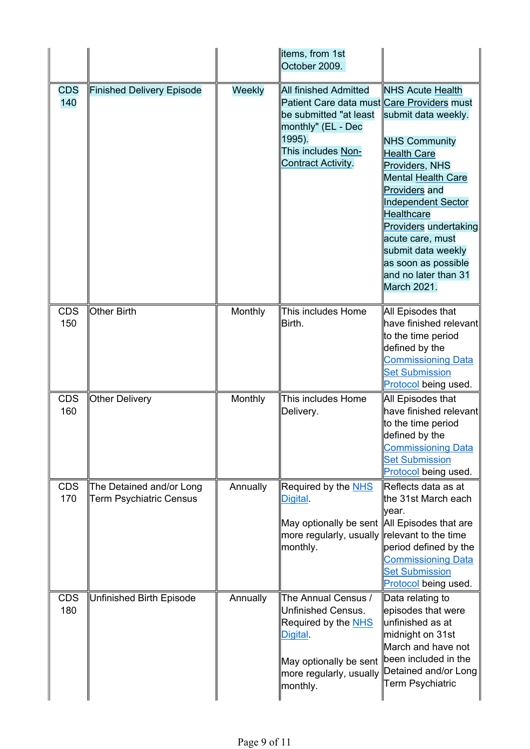|                   |                                                            |          | ∥items, from 1st<br>October 2009.                                                                                                                                         |                                                                                                                                                                                                                                                                                                                                                 |
|-------------------|------------------------------------------------------------|----------|---------------------------------------------------------------------------------------------------------------------------------------------------------------------------|-------------------------------------------------------------------------------------------------------------------------------------------------------------------------------------------------------------------------------------------------------------------------------------------------------------------------------------------------|
| <b>CDS</b><br>140 | Finished Delivery Episode                                  | Weekly   | All finished Admitted<br>Patient Care data must Care Providers must<br>be submitted "at least<br>monthly" (EL - Dec<br>1995).<br>This includes Non-<br>Contract Activity. | <b>NHS Acute Health</b><br>submit data weekly.<br><b>NHS Community</b><br><b>Health Care</b><br>Providers, NHS<br>Mental Health Care<br><b>Providers and</b><br><b>Independent Sector</b><br><b>Healthcare</b><br>Providers undertaking<br>acute care, must<br>submit data weekly<br>as soon as possible<br>and no later than 31<br>March 2021. |
| <b>CDS</b><br>150 | Other Birth                                                | Monthly  | This includes Home<br>Birth.                                                                                                                                              | All Episodes that<br>$ $ have finished relevant $ $<br>to the time period<br>defined by the<br><b>Commissioning Data</b><br><b>Set Submission</b><br>Protocol being used.                                                                                                                                                                       |
| <b>CDS</b><br>160 | Other Delivery                                             | Monthly  | This includes Home<br>Delivery.                                                                                                                                           | All Episodes that<br>have finished relevant<br>to the time period<br>defined by the<br><b>Commissioning Data</b><br><b>Set Submission</b><br>Protocol being used.                                                                                                                                                                               |
| <b>CDS</b><br>170 | The Detained and/or Long<br><b>Term Psychiatric Census</b> | Annually | Required by the NHS<br>Digital.<br>∥May optionally be sent ∥All Episodes that are<br>∥more regularly, usually ∥relevant to the time<br>$\parallel$ monthly.               | ∥Reflects data as at<br>∥the 31st March each<br>lyear.<br>period defined by the<br><b>Commissioning Data</b><br><b>Set Submission</b><br>Protocol being used.                                                                                                                                                                                   |
| <b>CDS</b><br>180 | Unfinished Birth Episode                                   | Annually | The Annual Census /<br>Unfinished Census.<br>Required by the NHS<br>Digital.<br>May optionally be sent<br>$\parallel$ more regularly, usually<br>$\parallel$ monthly.     | ∥Data relating to<br>episodes that were<br>∥unfinished as at<br>∥midnight on 31st<br>March and have not<br>been included in the<br>Detained and/or Long<br>Term Psychiatric                                                                                                                                                                     |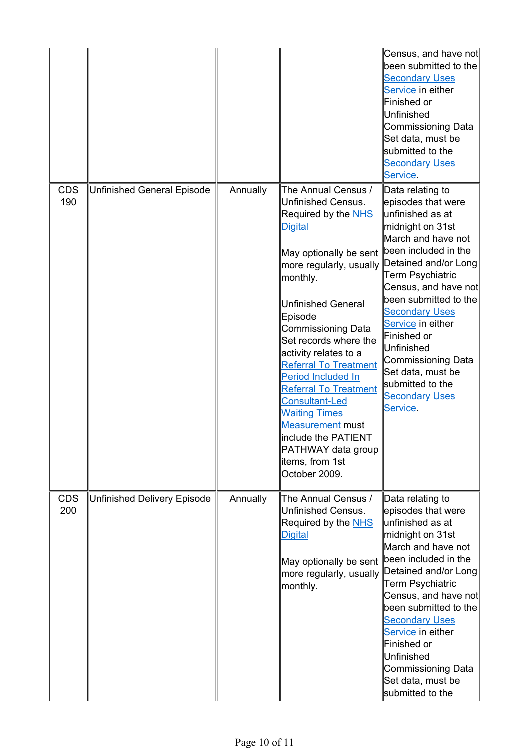|                   |                                    |          |                                                                                                                                                                                                                                                                                                                                                                                                                                                                                                                                                       | ∥Census, and have not∥<br>been submitted to the<br><b>Secondary Uses</b><br>Service in either<br>Finished or<br>∥Unfinished<br>Commissioning Data<br>Set data, must be<br>submitted to the<br><b>Secondary Uses</b><br>Service.                                                                                                                                                           |
|-------------------|------------------------------------|----------|-------------------------------------------------------------------------------------------------------------------------------------------------------------------------------------------------------------------------------------------------------------------------------------------------------------------------------------------------------------------------------------------------------------------------------------------------------------------------------------------------------------------------------------------------------|-------------------------------------------------------------------------------------------------------------------------------------------------------------------------------------------------------------------------------------------------------------------------------------------------------------------------------------------------------------------------------------------|
| <b>CDS</b><br>190 | <b>Unfinished General Episode</b>  | Annually | The Annual Census /<br>Unfinished Census.<br>Required by the NHS<br><b>Digital</b><br>May optionally be sent<br>more regularly, usually $ \!\! \!\! \mathsf{Det}$ ained and/or Long<br>monthly.<br>Unfinished General<br>Episode<br>Commissioning Data<br>Set records where the<br>activity relates to a<br><b>Referral To Treatment</b><br>Period Included In<br><b>Referral To Treatment</b><br><b>Consultant-Led</b><br><b>Waiting Times</b><br>Measurement must<br>include the PATIENT<br>PATHWAY data group<br>litems, from 1st<br>October 2009. | ∥Data relating to<br>episodes that were<br>∥unfinished as at<br>midnight on 31st<br>March and have not<br>been included in the<br><b>Term Psychiatric</b><br>Census, and have not<br>been submitted to the<br><b>Secondary Uses</b><br>Service in either<br>Finished or<br>Unfinished<br>Commissioning Data<br>Set data, must be<br>submitted to the<br><b>Secondary Uses</b><br>Service. |
| <b>CDS</b><br>200 | <b>Unfinished Delivery Episode</b> | Annually | The Annual Census /<br>Unfinished Census.<br>Required by the NHS<br><b>Digital</b><br>May optionally be sent<br>more regularly, usually<br>monthly.                                                                                                                                                                                                                                                                                                                                                                                                   | ∥Data relating to<br>episodes that were<br>lunfinished as at<br>∥midnight on 31st<br>March and have not<br>been included in the<br>Detained and/or Long<br>Term Psychiatric<br>Census, and have not<br>been submitted to the<br><b>Secondary Uses</b><br>Service in either<br>Finished or<br>∥Unfinished<br>Commissioning Data<br>Set data, must be<br>submitted to the                   |